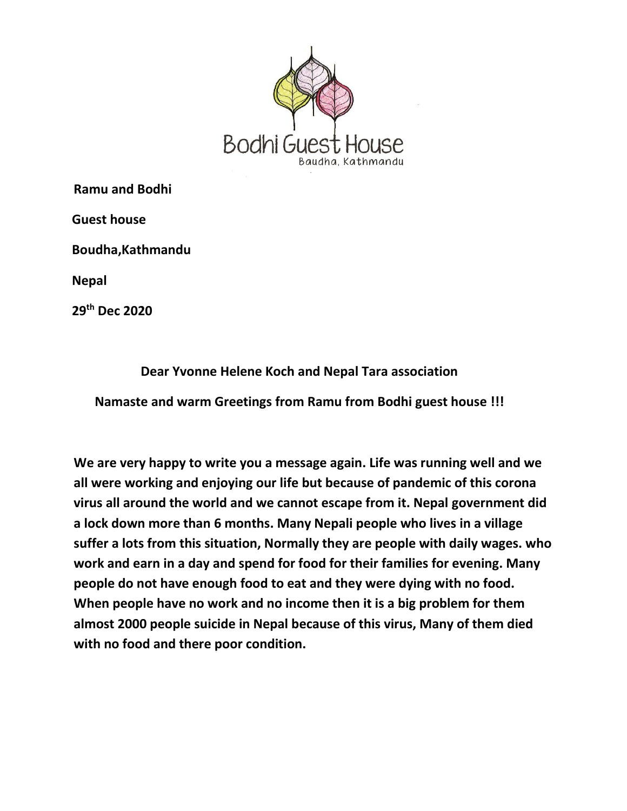

**Ramu and Bodhi**

 **Guest house**

 **Boudha,Kathmandu**

 **Nepal**

 **29th Dec 2020**

**Dear Yvonne Helene Koch and Nepal Tara association**

**Namaste and warm Greetings from Ramu from Bodhi guest house !!!**

**We are very happy to write you a message again. Life was running well and we all were working and enjoying our life but because of pandemic of this corona virus all around the world and we cannot escape from it. Nepal government did a lock down more than 6 months. Many Nepali people who lives in a village suffer a lots from this situation, Normally they are people with daily wages. who work and earn in a day and spend for food for their families for evening. Many people do not have enough food to eat and they were dying with no food. When people have no work and no income then it is a big problem for them almost 2000 people suicide in Nepal because of this virus, Many of them died with no food and there poor condition.**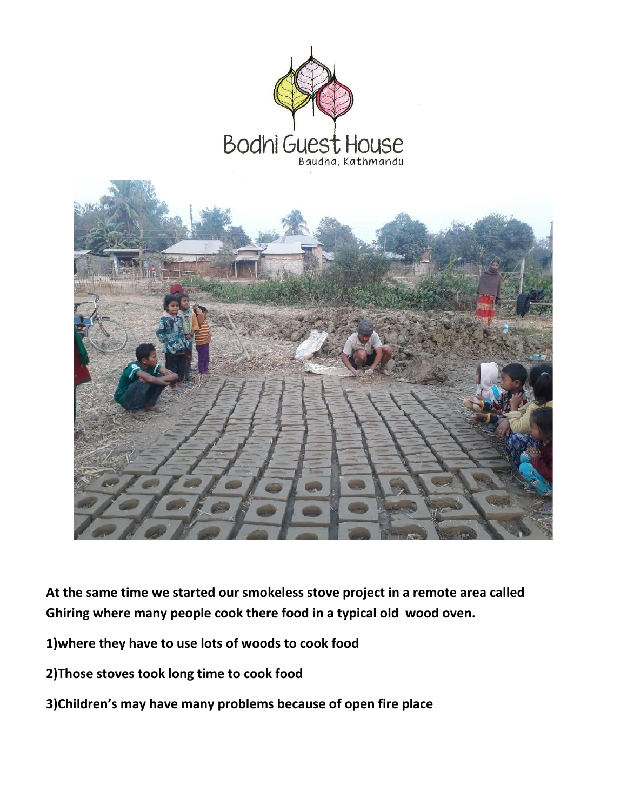

**At the same time we started our smokeless stove project in a remote area called Ghiring where many people cook there food in a typical old wood oven.**

- **1)where they have to use lots of woods to cook food**
- **2)Those stoves took long time to cook food**
- **3)Children's may have many problems because of open fire place**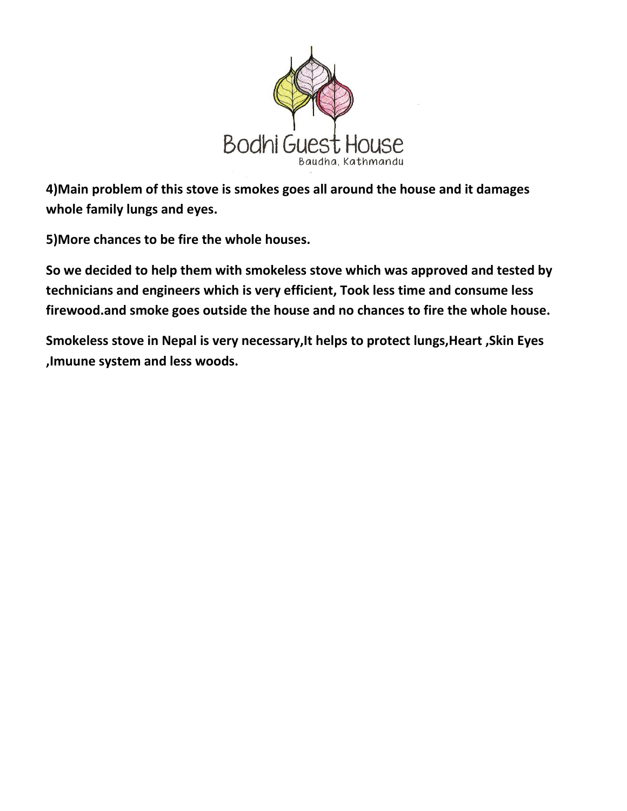

**4)Main problem of this stove is smokes goes all around the house and it damages whole family lungs and eyes.**

**5)More chances to be fire the whole houses.**

**So we decided to help them with smokeless stove which was approved and tested by technicians and engineers which is very efficient, Took less time and consume less firewood.and smoke goes outside the house and no chances to fire the whole house.**

**Smokeless stove in Nepal is very necessary,It helps to protect lungs,Heart ,Skin Eyes ,Imuune system and less woods.**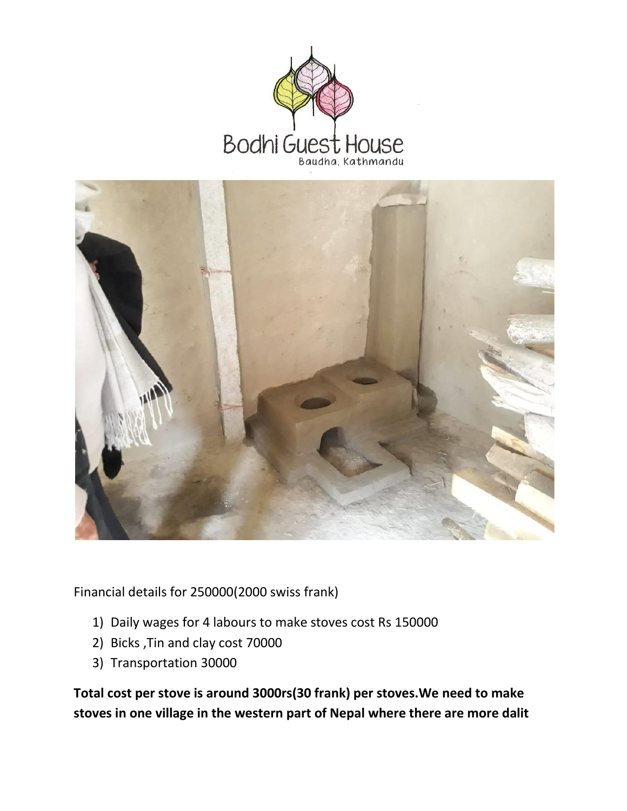



Financial details for 250000(2000 swiss frank)

- 1) Daily wages for 4 labours to make stoves cost Rs 150000
- 2) Bicks ,Tin and clay cost 70000
- 3) Transportation 30000

**Total cost per stove is around 3000rs(30 frank) per stoves.We need to make stoves in one village in the western part of Nepal where there are more dalit**